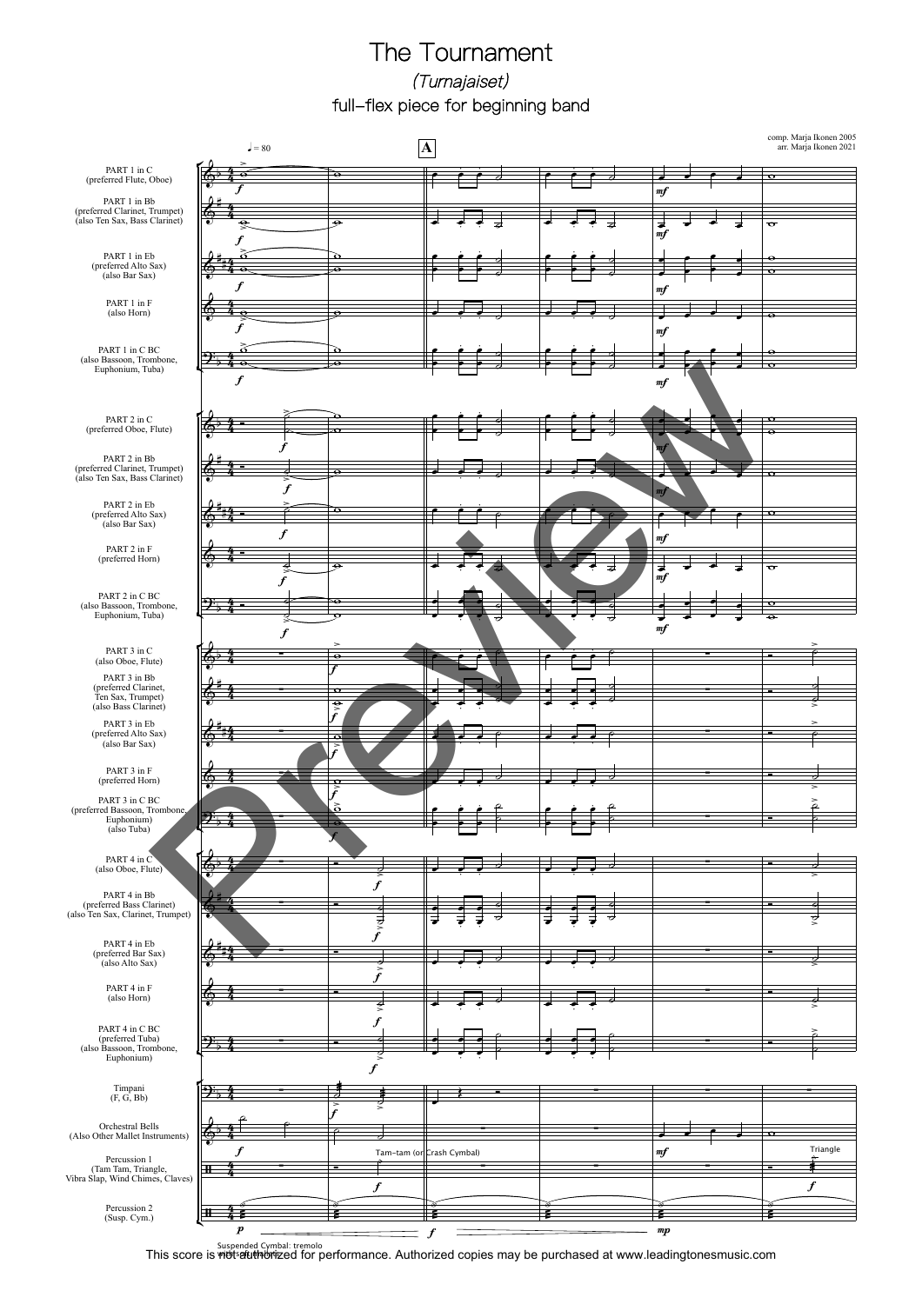## The Tournament (Turnajaiset) full-flex piece for beginning band



Suspended Cymbal: tremolo<br>This score is widtertured for performance. Authorized copies may be purchased at www.leadingtonesmusic.com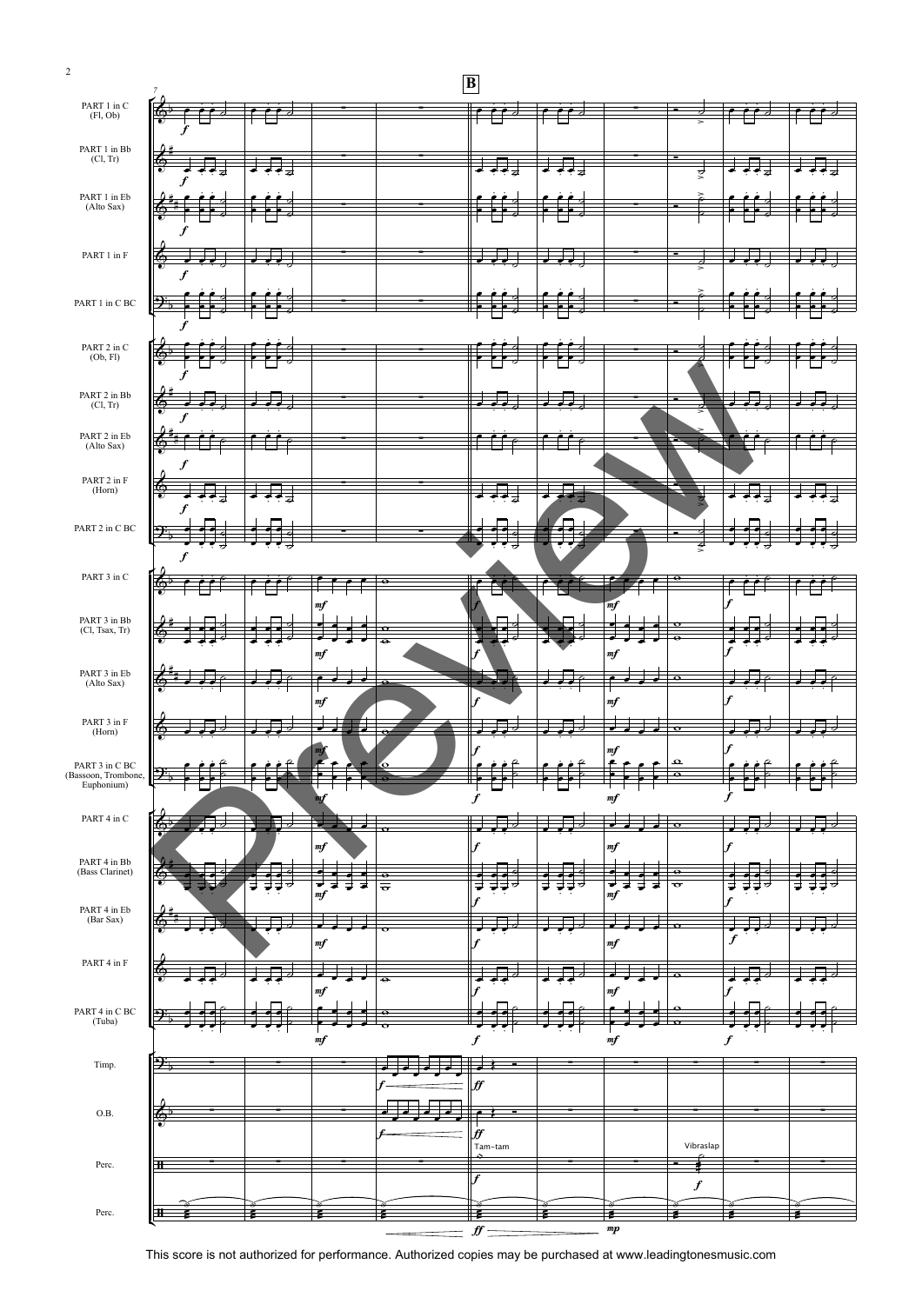| PART 1 in $C$<br>(Fl, Ob)                                                                | ℅                             |               |                                  |                     |               |                       |                  |  |
|------------------------------------------------------------------------------------------|-------------------------------|---------------|----------------------------------|---------------------|---------------|-----------------------|------------------|--|
|                                                                                          |                               |               |                                  |                     |               |                       |                  |  |
| $\rm PART$ 1 in Bb                                                                       |                               |               |                                  |                     |               |                       |                  |  |
| (Cl, Tr)                                                                                 | Ģ                             |               |                                  |                     |               |                       |                  |  |
|                                                                                          |                               |               |                                  | <del>J</del>        |               | डू                    |                  |  |
| PART 1 in Eb                                                                             |                               |               |                                  |                     |               |                       |                  |  |
| (Alto Sax)                                                                               | る                             |               |                                  |                     |               |                       |                  |  |
|                                                                                          |                               |               |                                  |                     |               |                       |                  |  |
| PART 1 in F                                                                              |                               |               |                                  |                     |               |                       |                  |  |
|                                                                                          | ∲<br>f                        |               |                                  |                     |               |                       |                  |  |
|                                                                                          |                               |               |                                  |                     |               |                       |                  |  |
| PART 1 in C BC                                                                           | <u> ခု</u>                    |               |                                  |                     |               |                       |                  |  |
|                                                                                          |                               |               |                                  |                     |               |                       |                  |  |
|                                                                                          |                               |               |                                  |                     |               |                       |                  |  |
| PART 2 in $C$<br>(Ob, Fl)                                                                | 6                             |               |                                  |                     |               |                       |                  |  |
|                                                                                          |                               |               |                                  |                     |               |                       |                  |  |
| $\begin{array}{c} \text{PART 2 in } \text{Bb} \\ \text{(Cl, Tr)} \end{array}$            |                               |               |                                  |                     |               |                       |                  |  |
|                                                                                          | ⊕                             |               |                                  |                     |               |                       |                  |  |
| PART 2 in Eb (Alto Sax)                                                                  |                               |               |                                  |                     |               |                       |                  |  |
|                                                                                          | 6                             |               |                                  |                     |               |                       |                  |  |
|                                                                                          | t                             |               |                                  |                     |               |                       |                  |  |
| PART 2 in F<br>(Horn)                                                                    | ∳                             |               |                                  |                     |               |                       |                  |  |
|                                                                                          |                               |               |                                  |                     |               |                       |                  |  |
| PART 2 in C BC                                                                           | $\mathbf{\mathfrak{P}}$       |               |                                  |                     |               |                       |                  |  |
|                                                                                          |                               |               |                                  |                     |               | €                     |                  |  |
|                                                                                          |                               |               |                                  |                     |               |                       |                  |  |
| PART 3 in C                                                                              |                               |               | е                                |                     |               | ⊖                     |                  |  |
|                                                                                          |                               | mf            |                                  |                     | mf            |                       | ۷                |  |
|                                                                                          |                               |               |                                  |                     |               |                       |                  |  |
| PART 3 in Bb<br>(Cl, Tsax, Tr)                                                           |                               |               | $\sigma$<br>$\overline{\bullet}$ |                     |               |                       |                  |  |
|                                                                                          |                               | mf            |                                  |                     | m f           |                       |                  |  |
| PART 3 in Eb                                                                             |                               | o             |                                  |                     |               | $\bullet$             |                  |  |
| (Alto Sax)                                                                               |                               |               | $\bullet$                        |                     |               |                       |                  |  |
|                                                                                          |                               | m f           |                                  | f                   | m f           |                       | f                |  |
| PART 3 in F<br>(Horn)                                                                    | $\circ$                       | ┙<br>◢<br>-   | $\sigma$                         |                     |               | $\circ$               |                  |  |
|                                                                                          |                               |               |                                  | f                   | mf            |                       |                  |  |
| PART 3 in C BC                                                                           |                               |               |                                  |                     |               | $\boldsymbol{\Omega}$ |                  |  |
| (Bassoon, Trombone,<br>Euphonium)                                                        | $\mathfrak{D}_{\mathfrak{p}}$ |               |                                  |                     |               | $\bullet$             |                  |  |
|                                                                                          |                               | тŢ            |                                  | $\boldsymbol{f}$    | $\it mf$      |                       | $\overline{f}$   |  |
| PART 4 in C                                                                              | ଚ⊵                            |               |                                  | J<br>∸              |               |                       |                  |  |
|                                                                                          |                               |               |                                  |                     |               |                       |                  |  |
| PART 4 in Bb<br>(Bass Clarinet)                                                          |                               | $\it mf$      |                                  |                     |               |                       |                  |  |
|                                                                                          |                               |               |                                  | f                   | m f           |                       |                  |  |
|                                                                                          | Ç                             |               | ø                                |                     |               | $\overline{\bullet}$  |                  |  |
|                                                                                          |                               | ₹<br>₹<br>m f | $\overline{\sigma}$              |                     | ⇁<br>굴<br>m f | $\sigma$              |                  |  |
|                                                                                          |                               |               |                                  |                     |               |                       |                  |  |
| $\begin{array}{c} \text{PART 4 in } \mathbb{E} \text{b} \\ \text{(Bar Sax)} \end{array}$ |                               |               | ਨ                                |                     |               | $\sigma$              |                  |  |
|                                                                                          |                               | mf            |                                  | f                   | m f           |                       | $\boldsymbol{f}$ |  |
| PART 4 in F                                                                              | το,                           |               |                                  |                     |               |                       |                  |  |
|                                                                                          |                               |               | $\overline{\bullet}$             |                     |               |                       |                  |  |
|                                                                                          |                               | $\it mf$      |                                  |                     | m f           |                       |                  |  |
| PART 4 in C BC<br>(Tuba)                                                                 |                               |               | е                                |                     |               |                       |                  |  |
|                                                                                          |                               | mf            |                                  | $\overline{f}$      | m f           |                       | $\boldsymbol{f}$ |  |
|                                                                                          | $\mathfrak{R}_+$              |               |                                  |                     |               |                       |                  |  |
| Timp.                                                                                    |                               |               |                                  |                     |               |                       |                  |  |
|                                                                                          |                               |               |                                  | $f\hspace{-0.1cm}f$ |               |                       |                  |  |
| O.B.                                                                                     | ω.                            |               |                                  |                     |               |                       |                  |  |
|                                                                                          |                               |               |                                  | f f                 |               |                       |                  |  |
|                                                                                          |                               |               |                                  | Tam-tam<br>÷        |               | Vibraslap             |                  |  |
| Perc.                                                                                    | Ŧ                             |               |                                  |                     |               | ÷                     |                  |  |
|                                                                                          |                               |               |                                  | f                   |               | $\boldsymbol{f}$      |                  |  |
| Perc.                                                                                    | Ŧ                             |               | s                                | ź                   | ź             |                       |                  |  |

2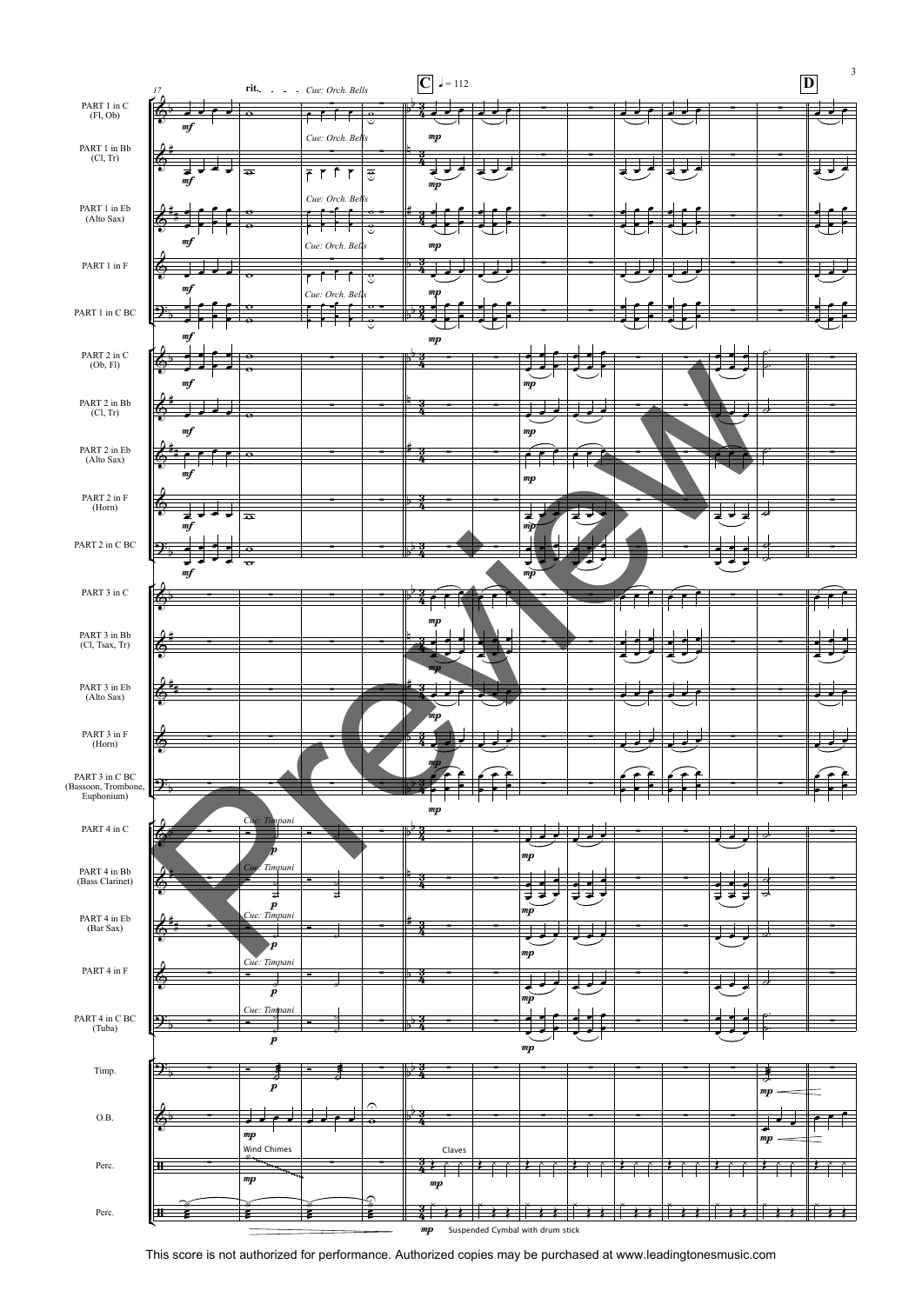

This score is not authorized for performance. Authorized copies may be purchased at www.leadingtonesmusic.com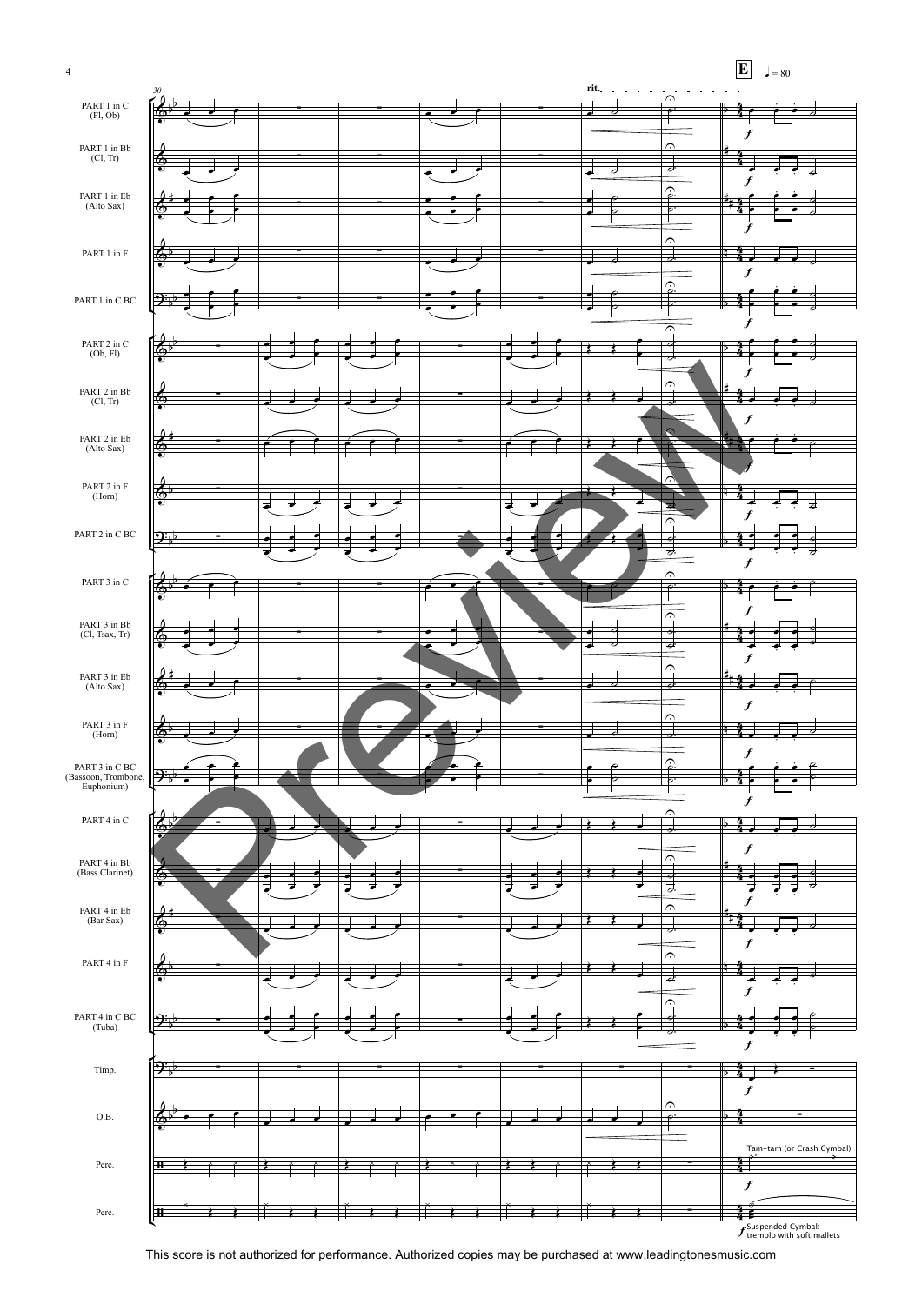

This score is not authorized for performance. Authorized copies may be purchased at www.leadingtonesmusic.com